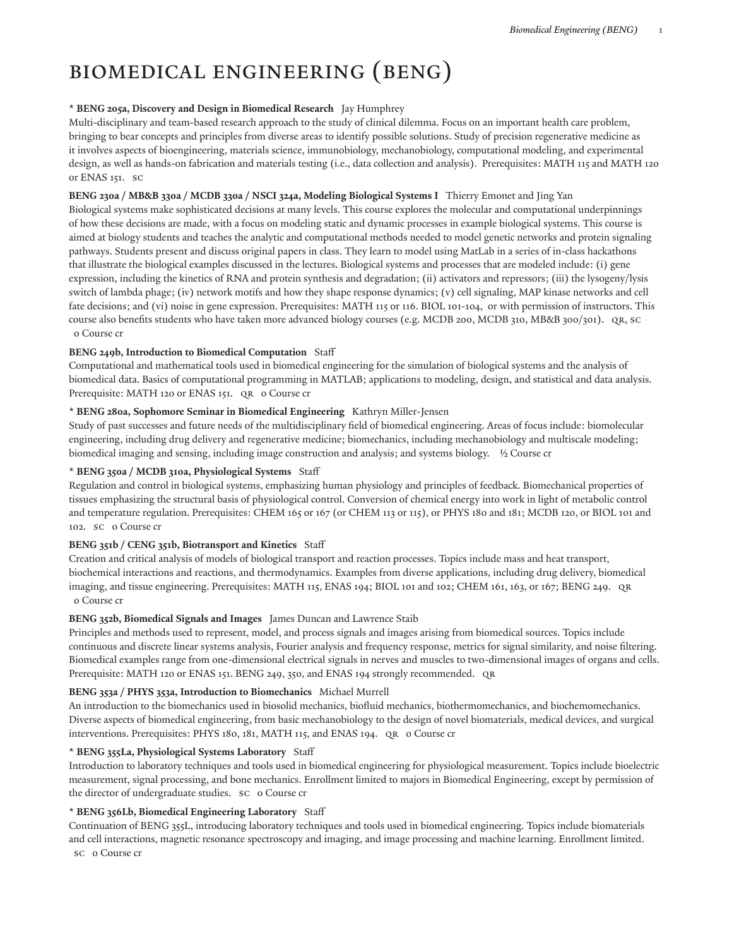# Biomedical Engineering (BENG)

#### **\* BENG 205a, Discovery and Design in Biomedical Research** Jay Humphrey

Multi-disciplinary and team-based research approach to the study of clinical dilemma. Focus on an important health care problem, bringing to bear concepts and principles from diverse areas to identify possible solutions. Study of precision regenerative medicine as it involves aspects of bioengineering, materials science, immunobiology, mechanobiology, computational modeling, and experimental design, as well as hands-on fabrication and materials testing (i.e., data collection and analysis). Prerequisites: MATH 115 and MATH 120 or ENAS 151. SC

#### **BENG 230a / MB&B 330a / MCDB 330a / NSCI 324a, Modeling Biological Systems I** Thierry Emonet and Jing Yan

Biological systems make sophisticated decisions at many levels. This course explores the molecular and computational underpinnings of how these decisions are made, with a focus on modeling static and dynamic processes in example biological systems. This course is aimed at biology students and teaches the analytic and computational methods needed to model genetic networks and protein signaling pathways. Students present and discuss original papers in class. They learn to model using MatLab in a series of in-class hackathons that illustrate the biological examples discussed in the lectures. Biological systems and processes that are modeled include: (i) gene expression, including the kinetics of RNA and protein synthesis and degradation; (ii) activators and repressors; (iii) the lysogeny/lysis switch of lambda phage; (iv) network motifs and how they shape response dynamics; (v) cell signaling, MAP kinase networks and cell fate decisions; and (vi) noise in gene expression. Prerequisites: MATH 115 or 116. BIOL 101-104, or with permission of instructors. This course also benefits students who have taken more advanced biology courses (e.g. MCDB 200, MCDB 310, MB&B 300/301). QR, SC 0 Course cr

#### **BENG 249b, Introduction to Biomedical Computation** Staff

Computational and mathematical tools used in biomedical engineering for the simulation of biological systems and the analysis of biomedical data. Basics of computational programming in MATLAB; applications to modeling, design, and statistical and data analysis. Prerequisite: MATH 120 or ENAS 151. QR o Course cr

#### **\* BENG 280a, Sophomore Seminar in Biomedical Engineering** Kathryn Miller-Jensen

Study of past successes and future needs of the multidisciplinary field of biomedical engineering. Areas of focus include: biomolecular engineering, including drug delivery and regenerative medicine; biomechanics, including mechanobiology and multiscale modeling; biomedical imaging and sensing, including image construction and analysis; and systems biology. ½ Course cr

#### **\* BENG 350a / MCDB 310a, Physiological Systems** Staff

Regulation and control in biological systems, emphasizing human physiology and principles of feedback. Biomechanical properties of tissues emphasizing the structural basis of physiological control. Conversion of chemical energy into work in light of metabolic control and temperature regulation. Prerequisites: CHEM 165 or 167 (or CHEM 113 or 115), or PHYS 180 and 181; MCDB 120, or BIOL 101 and 102. SC 0 Course cr

#### **BENG 351b / CENG 351b, Biotransport and Kinetics** Staff

Creation and critical analysis of models of biological transport and reaction processes. Topics include mass and heat transport, biochemical interactions and reactions, and thermodynamics. Examples from diverse applications, including drug delivery, biomedical imaging, and tissue engineering. Prerequisites: MATH 115, ENAS 194; BIOL 101 and 102; CHEM 161, 163, or 167; BENG 249. QR 0 Course cr

#### **BENG 352b, Biomedical Signals and Images** James Duncan and Lawrence Staib

Principles and methods used to represent, model, and process signals and images arising from biomedical sources. Topics include continuous and discrete linear systems analysis, Fourier analysis and frequency response, metrics for signal similarity, and noise filtering. Biomedical examples range from one-dimensional electrical signals in nerves and muscles to two-dimensional images of organs and cells. Prerequisite: MATH 120 or ENAS 151. BENG 249, 350, and ENAS 194 strongly recommended. QR

# **BENG 353a / PHYS 353a, Introduction to Biomechanics** Michael Murrell

An introduction to the biomechanics used in biosolid mechanics, biofluid mechanics, biothermomechanics, and biochemomechanics. Diverse aspects of biomedical engineering, from basic mechanobiology to the design of novel biomaterials, medical devices, and surgical interventions. Prerequisites: PHYS 180, 181, MATH 115, and ENAS 194. QR 0 Course cr

#### **\* BENG 355La, Physiological Systems Laboratory** Staff

Introduction to laboratory techniques and tools used in biomedical engineering for physiological measurement. Topics include bioelectric measurement, signal processing, and bone mechanics. Enrollment limited to majors in Biomedical Engineering, except by permission of the director of undergraduate studies. SC 0 Course cr

#### **\* BENG 356Lb, Biomedical Engineering Laboratory** Staff

Continuation of BENG 355L, introducing laboratory techniques and tools used in biomedical engineering. Topics include biomaterials and cell interactions, magnetic resonance spectroscopy and imaging, and image processing and machine learning. Enrollment limited. sc o Course cr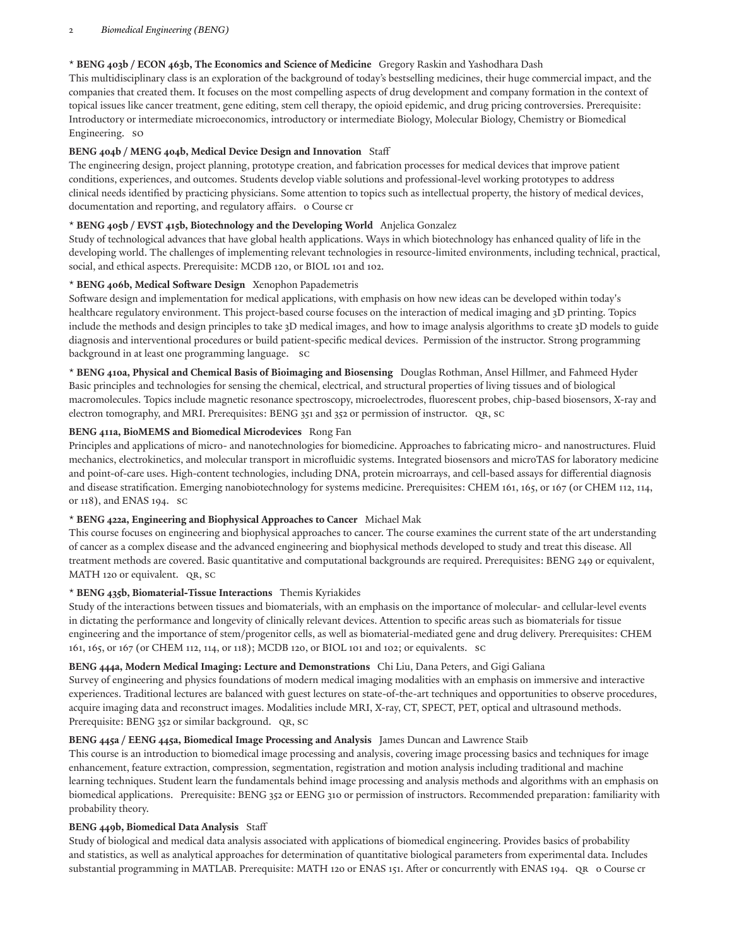#### 2 *Biomedical Engineering (BENG)*

## **\* BENG 403b / ECON 463b, The Economics and Science of Medicine** Gregory Raskin and Yashodhara Dash

This multidisciplinary class is an exploration of the background of today's bestselling medicines, their huge commercial impact, and the companies that created them. It focuses on the most compelling aspects of drug development and company formation in the context of topical issues like cancer treatment, gene editing, stem cell therapy, the opioid epidemic, and drug pricing controversies. Prerequisite: Introductory or intermediate microeconomics, introductory or intermediate Biology, Molecular Biology, Chemistry or Biomedical Engineering. SO

## **BENG 404b / MENG 404b, Medical Device Design and Innovation** Staff

The engineering design, project planning, prototype creation, and fabrication processes for medical devices that improve patient conditions, experiences, and outcomes. Students develop viable solutions and professional-level working prototypes to address clinical needs identified by practicing physicians. Some attention to topics such as intellectual property, the history of medical devices, documentation and reporting, and regulatory affairs. 0 Course cr

## **\* BENG 405b / EVST 415b, Biotechnology and the Developing World** Anjelica Gonzalez

Study of technological advances that have global health applications. Ways in which biotechnology has enhanced quality of life in the developing world. The challenges of implementing relevant technologies in resource-limited environments, including technical, practical, social, and ethical aspects. Prerequisite: MCDB 120, or BIOL 101 and 102.

#### $*$  **BENG** 406b, Medical Software Design Xenophon Papademetris

Software design and implementation for medical applications, with emphasis on how new ideas can be developed within today's healthcare regulatory environment. This project-based course focuses on the interaction of medical imaging and 3D printing. Topics include the methods and design principles to take 3D medical images, and how to image analysis algorithms to create 3D models to guide diagnosis and interventional procedures or build patient-specific medical devices. Permission of the instructor. Strong programming background in at least one programming language. SC

**\* BENG 410a, Physical and Chemical Basis of Bioimaging and Biosensing** Douglas Rothman, Ansel Hillmer, and Fahmeed Hyder Basic principles and technologies for sensing the chemical, electrical, and structural properties of living tissues and of biological macromolecules. Topics include magnetic resonance spectroscopy, microelectrodes, fluorescent probes, chip-based biosensors, X-ray and electron tomography, and MRI. Prerequisites: BENG 351 and 352 or permission of instructor. QR, SC

#### **BENG 411a, BioMEMS and Biomedical Microdevices** Rong Fan

Principles and applications of micro- and nanotechnologies for biomedicine. Approaches to fabricating micro- and nanostructures. Fluid mechanics, electrokinetics, and molecular transport in microfluidic systems. Integrated biosensors and microTAS for laboratory medicine and point-of-care uses. High-content technologies, including DNA, protein microarrays, and cell-based assays for differential diagnosis and disease stratification. Emerging nanobiotechnology for systems medicine. Prerequisites: CHEM 161, 165, or 167 (or CHEM 112, 114, or 118), and ENAS 194. SC

## **\* BENG 422a, Engineering and Biophysical Approaches to Cancer** Michael Mak

This course focuses on engineering and biophysical approaches to cancer. The course examines the current state of the art understanding of cancer as a complex disease and the advanced engineering and biophysical methods developed to study and treat this disease. All treatment methods are covered. Basic quantitative and computational backgrounds are required. Prerequisites: BENG 249 or equivalent, MATH 120 or equivalent. QR, SC

## **\* BENG 435b, Biomaterial-Tissue Interactions** Themis Kyriakides

Study of the interactions between tissues and biomaterials, with an emphasis on the importance of molecular- and cellular-level events in dictating the performance and longevity of clinically relevant devices. Attention to specific areas such as biomaterials for tissue engineering and the importance of stem/progenitor cells, as well as biomaterial-mediated gene and drug delivery. Prerequisites: CHEM 161, 165, or 167 (or CHEM 112, 114, or 118); MCDB 120, or BIOL 101 and 102; or equivalents. SC

#### **BENG 444a, Modern Medical Imaging: Lecture and Demonstrations** Chi Liu, Dana Peters, and Gigi Galiana

Survey of engineering and physics foundations of modern medical imaging modalities with an emphasis on immersive and interactive experiences. Traditional lectures are balanced with guest lectures on state-of-the-art techniques and opportunities to observe procedures, acquire imaging data and reconstruct images. Modalities include MRI, X-ray, CT, SPECT, PET, optical and ultrasound methods. Prerequisite: BENG 352 or similar background. QR, SC

## **BENG 445a / EENG 445a, Biomedical Image Processing and Analysis** James Duncan and Lawrence Staib

This course is an introduction to biomedical image processing and analysis, covering image processing basics and techniques for image enhancement, feature extraction, compression, segmentation, registration and motion analysis including traditional and machine learning techniques. Student learn the fundamentals behind image processing and analysis methods and algorithms with an emphasis on biomedical applications. Prerequisite: BENG 352 or EENG 310 or permission of instructors. Recommended preparation: familiarity with probability theory.

#### **BENG 449b, Biomedical Data Analysis** Staff

Study of biological and medical data analysis associated with applications of biomedical engineering. Provides basics of probability and statistics, as well as analytical approaches for determination of quantitative biological parameters from experimental data. Includes substantial programming in MATLAB. Prerequisite: MATH 120 or ENAS 151. After or concurrently with ENAS 194. QR o Course cr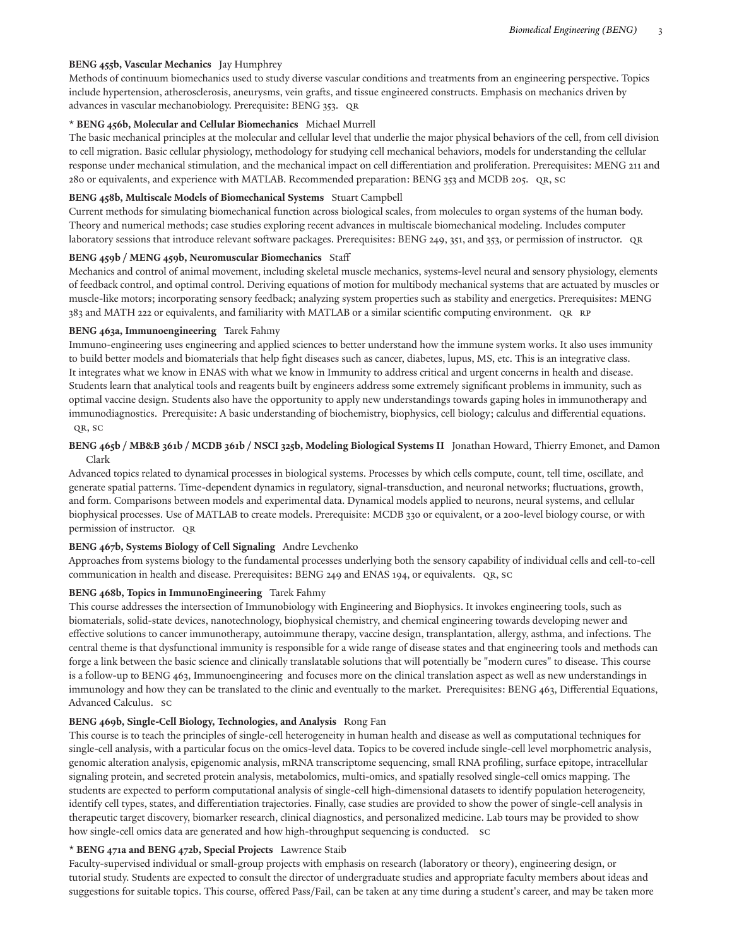## **BENG 455b, Vascular Mechanics** Jay Humphrey

Methods of continuum biomechanics used to study diverse vascular conditions and treatments from an engineering perspective. Topics include hypertension, atherosclerosis, aneurysms, vein grafts, and tissue engineered constructs. Emphasis on mechanics driven by advances in vascular mechanobiology. Prerequisite: BENG 353. QR

#### **\* BENG 456b, Molecular and Cellular Biomechanics** Michael Murrell

The basic mechanical principles at the molecular and cellular level that underlie the major physical behaviors of the cell, from cell division to cell migration. Basic cellular physiology, methodology for studying cell mechanical behaviors, models for understanding the cellular response under mechanical stimulation, and the mechanical impact on cell differentiation and proliferation. Prerequisites: MENG 211 and 280 or equivalents, and experience with MATLAB. Recommended preparation: BENG 353 and MCDB 205. QR, SC

#### **BENG 458b, Multiscale Models of Biomechanical Systems** Stuart Campbell

Current methods for simulating biomechanical function across biological scales, from molecules to organ systems of the human body. Theory and numerical methods; case studies exploring recent advances in multiscale biomechanical modeling. Includes computer laboratory sessions that introduce relevant software packages. Prerequisites: BENG 249, 351, and 353, or permission of instructor. QR

#### **BENG 459b / MENG 459b, Neuromuscular Biomechanics** Staff

Mechanics and control of animal movement, including skeletal muscle mechanics, systems-level neural and sensory physiology, elements of feedback control, and optimal control. Deriving equations of motion for multibody mechanical systems that are actuated by muscles or muscle-like motors; incorporating sensory feedback; analyzing system properties such as stability and energetics. Prerequisites: MENG 383 and MATH 222 or equivalents, and familiarity with MATLAB or a similar scientific computing environment. QR RP

#### **BENG 463a, Immunoengineering** Tarek Fahmy

Immuno-engineering uses engineering and applied sciences to better understand how the immune system works. It also uses immunity to build better models and biomaterials that help fight diseases such as cancer, diabetes, lupus, MS, etc. This is an integrative class. It integrates what we know in ENAS with what we know in Immunity to address critical and urgent concerns in health and disease. Students learn that analytical tools and reagents built by engineers address some extremely significant problems in immunity, such as optimal vaccine design. Students also have the opportunity to apply new understandings towards gaping holes in immunotherapy and immunodiagnostics. Prerequisite: A basic understanding of biochemistry, biophysics, cell biology; calculus and differential equations. QR, SC

## BENG 465b / MB&B 361b / MCDB 361b / NSCI 325b, Modeling Biological Systems II Jonathan Howard, Thierry Emonet, and Damon Clark

Advanced topics related to dynamical processes in biological systems. Processes by which cells compute, count, tell time, oscillate, and generate spatial patterns. Time-dependent dynamics in regulatory, signal-transduction, and neuronal networks; fluctuations, growth, and form. Comparisons between models and experimental data. Dynamical models applied to neurons, neural systems, and cellular biophysical processes. Use of MATLAB to create models. Prerequisite: MCDB 330 or equivalent, or a 200-level biology course, or with permission of instructor. QR

### **BENG 467b, Systems Biology of Cell Signaling** Andre Levchenko

Approaches from systems biology to the fundamental processes underlying both the sensory capability of individual cells and cell-to-cell communication in health and disease. Prerequisites: BENG 249 and ENAS 194, or equivalents. QR, SC

## **BENG 468b, Topics in ImmunoEngineering** Tarek Fahmy

This course addresses the intersection of Immunobiology with Engineering and Biophysics. It invokes engineering tools, such as biomaterials, solid-state devices, nanotechnology, biophysical chemistry, and chemical engineering towards developing newer and effective solutions to cancer immunotherapy, autoimmune therapy, vaccine design, transplantation, allergy, asthma, and infections. The central theme is that dysfunctional immunity is responsible for a wide range of disease states and that engineering tools and methods can forge a link between the basic science and clinically translatable solutions that will potentially be "modern cures" to disease. This course is a follow-up to BENG 463, Immunoengineering and focuses more on the clinical translation aspect as well as new understandings in immunology and how they can be translated to the clinic and eventually to the market. Prerequisites: BENG 463, Differential Equations, Advanced Calculus. SC

## **BENG 469b, Single-Cell Biology, Technologies, and Analysis** Rong Fan

This course is to teach the principles of single-cell heterogeneity in human health and disease as well as computational techniques for single-cell analysis, with a particular focus on the omics-level data. Topics to be covered include single-cell level morphometric analysis, genomic alteration analysis, epigenomic analysis, mRNA transcriptome sequencing, small RNA profiling, surface epitope, intracellular signaling protein, and secreted protein analysis, metabolomics, multi-omics, and spatially resolved single-cell omics mapping. The students are expected to perform computational analysis of single-cell high-dimensional datasets to identify population heterogeneity, identify cell types, states, and differentiation trajectories. Finally, case studies are provided to show the power of single-cell analysis in therapeutic target discovery, biomarker research, clinical diagnostics, and personalized medicine. Lab tours may be provided to show how single-cell omics data are generated and how high-throughput sequencing is conducted. SC

## **\* BENG 471a and BENG 472b, Special Projects** Lawrence Staib

Faculty-supervised individual or small-group projects with emphasis on research (laboratory or theory), engineering design, or tutorial study. Students are expected to consult the director of undergraduate studies and appropriate faculty members about ideas and suggestions for suitable topics. This course, offered Pass/Fail, can be taken at any time during a student's career, and may be taken more